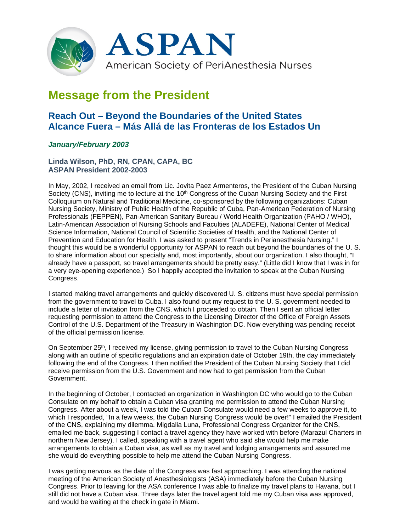

## **Message from the President**

## **Reach Out – Beyond the Boundaries of the United States Alcance Fuera – Más Allá de las Fronteras de los Estados Un**

## *January/February 2003*

**Linda Wilson, PhD, RN, CPAN, CAPA, BC ASPAN President 2002-2003**

In May, 2002, I received an email from Lic. Jovita Paez Armenteros, the President of the Cuban Nursing Society (CNS), inviting me to lecture at the 10<sup>th</sup> Congress of the Cuban Nursing Society and the First Colloquium on Natural and Traditional Medicine, co-sponsored by the following organizations: Cuban Nursing Society, Ministry of Public Health of the Republic of Cuba, Pan-American Federation of Nursing Professionals (FEPPEN), Pan-American Sanitary Bureau / World Health Organization (PAHO / WHO), Latin-American Association of Nursing Schools and Faculties (ALADEFE), National Center of Medical Science Information, National Council of Scientific Societies of Health, and the National Center of Prevention and Education for Health. I was asked to present "Trends in Perianesthesia Nursing." I thought this would be a wonderful opportunity for ASPAN to reach out beyond the boundaries of the U. S. to share information about our specialty and, most importantly, about our organization. I also thought, "I already have a passport, so travel arrangements should be pretty easy." (Little did I know that I was in for a very eye-opening experience.) So I happily accepted the invitation to speak at the Cuban Nursing Congress.

I started making travel arrangements and quickly discovered U. S. citizens must have special permission from the government to travel to Cuba. I also found out my request to the U. S. government needed to include a letter of invitation from the CNS, which I proceeded to obtain. Then I sent an official letter requesting permission to attend the Congress to the Licensing Director of the Office of Foreign Assets Control of the U.S. Department of the Treasury in Washington DC. Now everything was pending receipt of the official permission license.

On September 25<sup>th</sup>, I received my license, giving permission to travel to the Cuban Nursing Congress along with an outline of specific regulations and an expiration date of October 19th, the day immediately following the end of the Congress. I then notified the President of the Cuban Nursing Society that I did receive permission from the U.S. Government and now had to get permission from the Cuban Government.

In the beginning of October, I contacted an organization in Washington DC who would go to the Cuban Consulate on my behalf to obtain a Cuban visa granting me permission to attend the Cuban Nursing Congress. After about a week, I was told the Cuban Consulate would need a few weeks to approve it, to which I responded, "In a few weeks, the Cuban Nursing Congress would be over!" I emailed the President of the CNS, explaining my dilemma. Migdalia Luna, Professional Congress Organizer for the CNS, emailed me back, suggesting I contact a travel agency they have worked with before (Marazul Charters in northern New Jersey). I called, speaking with a travel agent who said she would help me make arrangements to obtain a Cuban visa, as well as my travel and lodging arrangements and assured me she would do everything possible to help me attend the Cuban Nursing Congress.

I was getting nervous as the date of the Congress was fast approaching. I was attending the national meeting of the American Society of Anesthesiologists (ASA) immediately before the Cuban Nursing Congress. Prior to leaving for the ASA conference I was able to finalize my travel plans to Havana, but I still did not have a Cuban visa. Three days later the travel agent told me my Cuban visa was approved, and would be waiting at the check in gate in Miami.